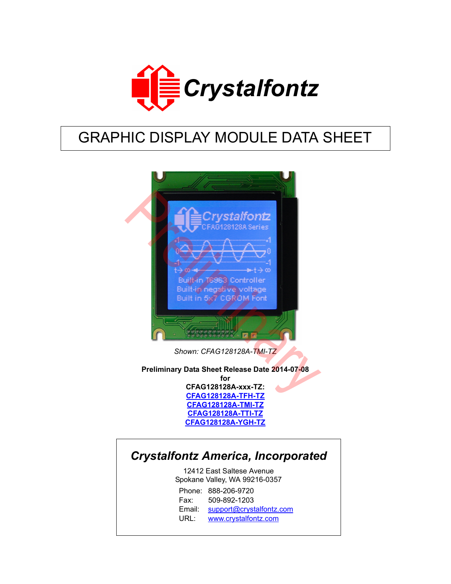

# GRAPHIC DISPLAY MODULE DATA SHEET



*Shown: CFAG128128A-TMI-TZ*

**Preliminary Data Sheet Release Date 2014-07-08 for CFAG128128A-xxx-TZ: CFAG128128A-TFH-TZ CFAG128128A-TMI-TZ [CFAG128128A-TTI-TZ](https://www.crystalfontz.com/product/CFAG128128ATTITZ) [CFAG128128A-YGH-TZ](https://www.crystalfontz.com/product/CFAG128128AYGHTZ)**

# *Crystalfontz America, Incorporated*

12412 East Saltese Avenue Spokane Valley, WA 99216-0357 Phone: 888-206-9720 Fax: 509-892-1203 Email: [support@crystalfontz.com](mailto:support@crystalfontz.com) URL: [www.crystalfontz.com](http://www.crystalfontz.com)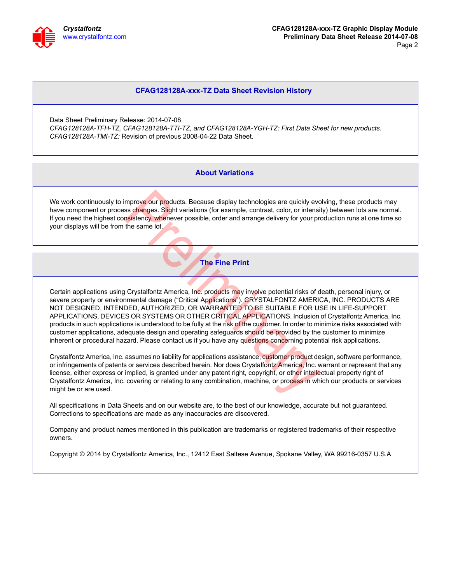

#### **CFAG128128A-xxx-TZ Data Sheet Revision History**

Data Sheet Preliminary Release: 2014-07-08 *CFAG128128A-TFH-TZ, CFAG128128A-TTI-TZ, and CFAG128128A-YGH-TZ: First Data Sheet for new products. CFAG128128A-TMI-TZ:* Revision of previous 2008-04-22 Data Sheet.

#### **About Variations**

We work continuously to improve our products. Because display technologies are quickly evolving, these products may have component or process changes. Slight variations (for example, contrast, color, or intensity) between lots are normal. If you need the highest consistency, whenever possible, order and arrange delivery for your production runs at one time so your displays will be from the same lot.

**The Fine Print**

Certain applications using Crystalfontz America, Inc. products may involve potential risks of death, personal injury, or severe property or environmental damage ("Critical Applications"). CRYSTALFONTZ AMERICA, INC. PRODUCTS ARE NOT DESIGNED, INTENDED, AUTHORIZED, OR WARRANTED TO BE SUITABLE FOR USE IN LIFE-SUPPORT APPLICATIONS, DEVICES OR SYSTEMS OR OTHER CRITICAL APPLICATIONS. Inclusion of Crystalfontz America, Inc. products in such applications is understood to be fully at the risk of the customer. In order to minimize risks associated with customer applications, adequate design and operating safeguards should be provided by the customer to minimize inherent or procedural hazard. Please contact us if you have any questions concerning potential risk applications. mprove our products. Because display technologies are quickly ever<br>ss changes. Slight variations (for example, contrast, color, or intensity<br>sistency, whenever possible, order and arrange delivery for your pro-<br>the same lo

Crystalfontz America, Inc. assumes no liability for applications assistance, customer product design, software performance, or infringements of patents or services described herein. Nor does Crystalfontz America, Inc. warrant or represent that any license, either express or implied, is granted under any patent right, copyright, or other intellectual property right of Crystalfontz America, Inc. covering or relating to any combination, machine, or process in which our products or services might be or are used.

All specifications in Data Sheets and on our website are, to the best of our knowledge, accurate but not guaranteed. Corrections to specifications are made as any inaccuracies are discovered.

Company and product names mentioned in this publication are trademarks or registered trademarks of their respective owners.

Copyright © 2014 by Crystalfontz America, Inc., 12412 East Saltese Avenue, Spokane Valley, WA 99216-0357 U.S.A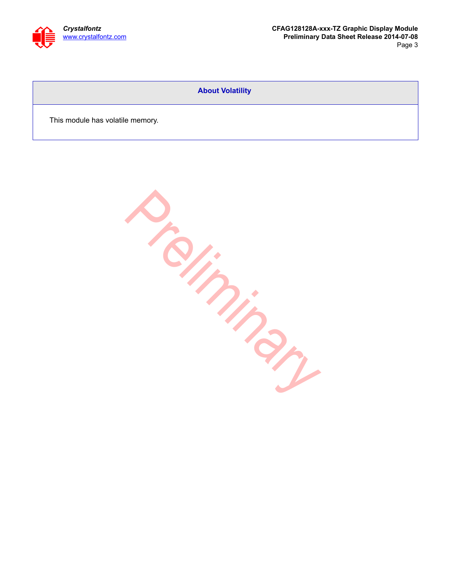

#### **About Volatility**

This module has volatile memory.

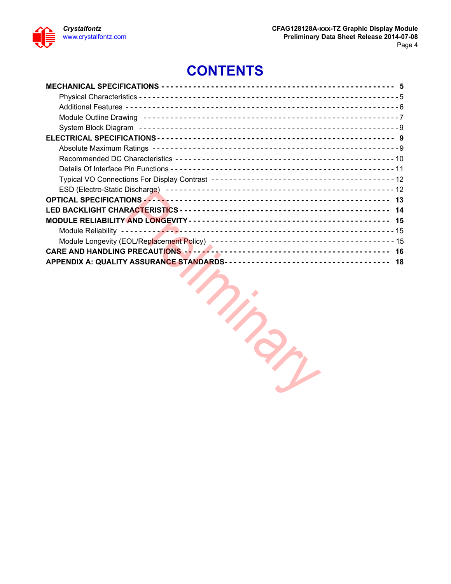

# **CONTENTS**

| OPTICAL SPECIFICATIONS And Account and Account and Account and Account and Account and Account and A |  |
|------------------------------------------------------------------------------------------------------|--|
|                                                                                                      |  |
|                                                                                                      |  |
|                                                                                                      |  |
|                                                                                                      |  |
|                                                                                                      |  |
|                                                                                                      |  |
|                                                                                                      |  |

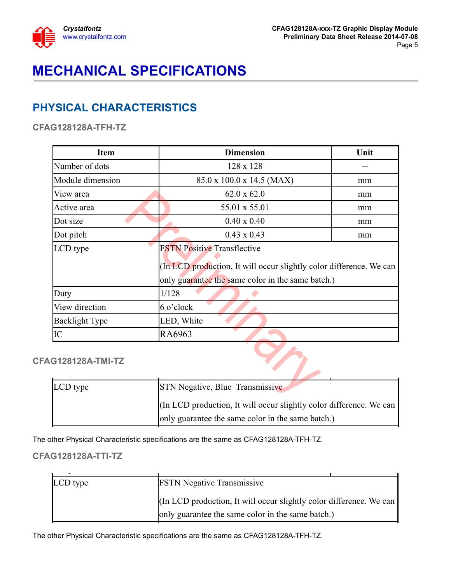

# <span id="page-4-0"></span>**MECHANICAL SPECIFICATIONS**

# <span id="page-4-1"></span>**PHYSICAL CHARACTERISTICS**

**CFAG128128A-TFH-TZ**

| <b>Item</b>           | <b>Dimension</b><br>Unit                                                                                                                                                                                                                                                                       |    |  |  |  |  |  |  |
|-----------------------|------------------------------------------------------------------------------------------------------------------------------------------------------------------------------------------------------------------------------------------------------------------------------------------------|----|--|--|--|--|--|--|
| Number of dots        | 128 x 128                                                                                                                                                                                                                                                                                      |    |  |  |  |  |  |  |
| Module dimension      | 85.0 x 100.0 x 14.5 (MAX)<br>mm                                                                                                                                                                                                                                                                |    |  |  |  |  |  |  |
| View area             | $62.0 \times 62.0$                                                                                                                                                                                                                                                                             | mm |  |  |  |  |  |  |
| Active area           | 55.01 x 55.01                                                                                                                                                                                                                                                                                  | mm |  |  |  |  |  |  |
| Dot size              | $0.40 \times 0.40$                                                                                                                                                                                                                                                                             | mm |  |  |  |  |  |  |
| Dot pitch             | $0.43 \times 0.43$                                                                                                                                                                                                                                                                             | mm |  |  |  |  |  |  |
| LCD type              | <b>FSTN Positive Transflective</b><br>(In LCD production, It will occur slightly color difference. We can<br>only guarantee the same color in the same batch.)                                                                                                                                 |    |  |  |  |  |  |  |
| Duty                  | 1/128                                                                                                                                                                                                                                                                                          |    |  |  |  |  |  |  |
| View direction        | 6 o'clock                                                                                                                                                                                                                                                                                      |    |  |  |  |  |  |  |
| <b>Backlight Type</b> | LED, White                                                                                                                                                                                                                                                                                     |    |  |  |  |  |  |  |
| IC                    | RA6963                                                                                                                                                                                                                                                                                         |    |  |  |  |  |  |  |
| 3128128A-TMI-TZ       |                                                                                                                                                                                                                                                                                                |    |  |  |  |  |  |  |
| LCD type              | STN Negative, Blue Transmissive                                                                                                                                                                                                                                                                |    |  |  |  |  |  |  |
|                       | $(T_{\alpha}, T_{\alpha})$ and $T_{\alpha}$ is the set of $T_{\alpha}$ is the set of $T_{\alpha}$ is the set of $T_{\alpha}$ is the set of $T_{\alpha}$ is the set of $T_{\alpha}$ is the set of $T_{\alpha}$ is the set of $T_{\alpha}$ is the set of $T_{\alpha}$ is the set of $T_{\alpha}$ |    |  |  |  |  |  |  |

**CFAG128128A-TMI-TZ**

| LCD type | <b>STN Negative, Blue Transmissive</b>                              |
|----------|---------------------------------------------------------------------|
|          | (In LCD production, It will occur slightly color difference. We can |
|          | only guarantee the same color in the same batch.)                   |

The other Physical Characteristic specifications are the same as CFAG128128A-TFH-TZ.

#### **CFAG128128A-TTI-TZ**

| LCD type | <b>FSTN</b> Negative Transmissive                                   |
|----------|---------------------------------------------------------------------|
|          | [In LCD production, It will occur slightly color difference. We can |
|          | only guarantee the same color in the same batch.)                   |

The other Physical Characteristic specifications are the same as CFAG128128A-TFH-TZ.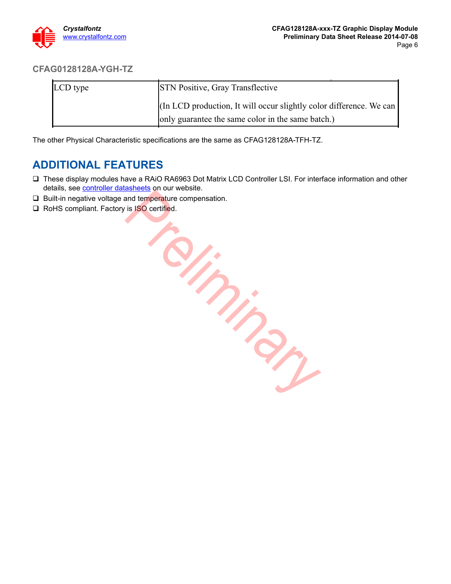

#### **CFAG0128128A-YGH-TZ**

| LCD type | <b>STN Positive, Gray Transflective</b>                             |
|----------|---------------------------------------------------------------------|
|          | (In LCD production, It will occur slightly color difference. We can |
|          | only guarantee the same color in the same batch.)                   |

The other Physical Characteristic specifications are the same as CFAG128128A-TFH-TZ.

#### <span id="page-5-0"></span>**ADDITIONAL FEATURES**

- These display modules have a RAiO RA6963 Dot Matrix LCD Controller LSI. For interface information and other details, see **controller datasheets** on our website.
- $\Box$  Built-in negative voltage and temperature compensation.
- □ RoHS compliant. Factory is ISO certified.

**Priming**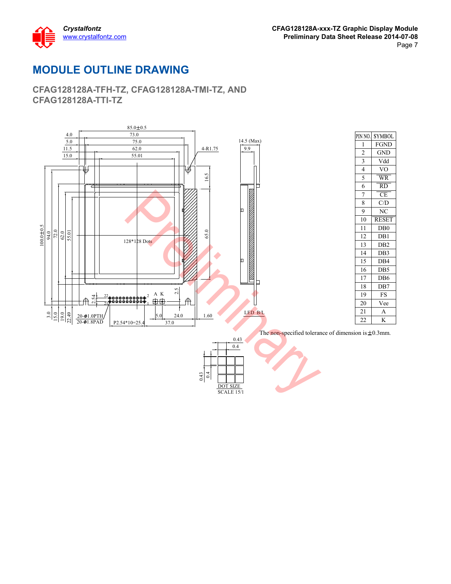

## <span id="page-6-0"></span>**MODULE OUTLINE DRAWING**

**CFAG128128A-TFH-TZ, CFAG128128A-TMI-TZ, AND CFAG128128A-TTI-TZ**

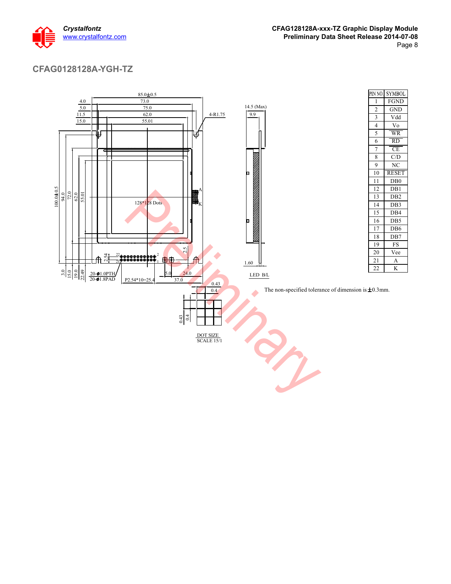

#### **CFAG0128128A-YGH-TZ**

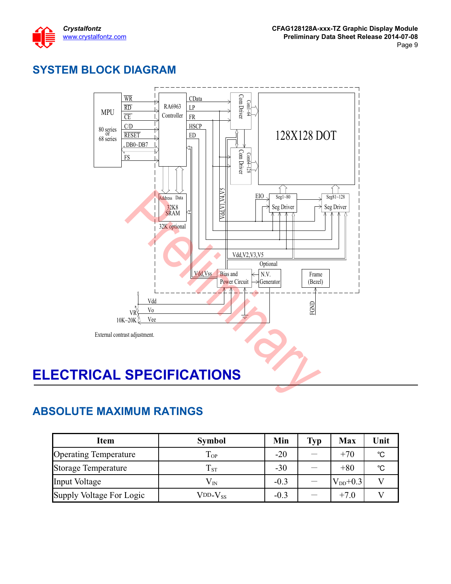

# <span id="page-8-0"></span>**SYSTEM BLOCK DIAGRAM**



## <span id="page-8-2"></span><span id="page-8-1"></span>**ABSOLUTE MAXIMUM RATINGS**

| <b>Item</b>                  | <b>Symbol</b>                   | Min    | <b>Typ</b> | <b>Max</b>   | Unit |
|------------------------------|---------------------------------|--------|------------|--------------|------|
| <b>Operating Temperature</b> | $T_{OP}$                        | $-20$  |            | $+70$        | °C   |
| <b>Storage Temperature</b>   | $T_{ST}$                        | $-30$  |            | $+80$        | °C   |
| Input Voltage                | $\rm V_{\scriptscriptstyle IN}$ | $-0.3$ |            | $V_{DD}+0.3$ |      |
| Supply Voltage For Logic     | $V$ DD- $V_{SS}$                | $-0.3$ |            | $+7.0$       |      |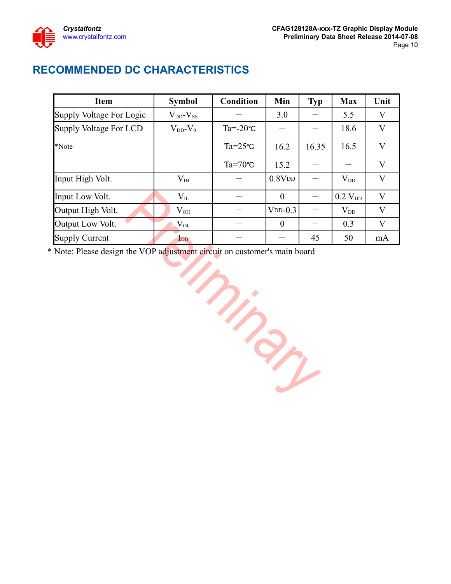

# <span id="page-9-0"></span>**RECOMMENDED DC CHARACTERISTICS**

| <b>Item</b>              | <b>Symbol</b>       | Condition          | Min              | Typ   | <b>Max</b>     | Unit                    |
|--------------------------|---------------------|--------------------|------------------|-------|----------------|-------------------------|
| Supply Voltage For Logic | $V_{DD}$ - $V_{SS}$ |                    | 3.0              |       | 5.5            | V                       |
| Supply Voltage For LCD   | $V_{DD}$ - $V_0$    | $Ta = -20$ °C      |                  |       | 18.6           | $\rm V$                 |
| *Note                    |                     | $Ta = 25^{\circ}C$ | 16.2             | 16.35 | 16.5           | $\overline{\mathsf{V}}$ |
|                          |                     | $Ta=70^{\circ}C$   | 15.2             |       |                | $\mathbf{V}$            |
| Input High Volt.         | $V_{IH}$            |                    | $0.8V$ DD        |       | $V_{DD}$       | V                       |
| Input Low Volt.          | $V_{IL}$            |                    | $\theta$         |       | $0.2$ $V_{DD}$ | V                       |
| Output High Volt.        | $V_{OH}$            |                    | $VDD-0.3$        |       | $\rm V_{DD}$   | $\overline{\mathsf{V}}$ |
| Output Low Volt.         | $\rm V_{OL}$        |                    | $\boldsymbol{0}$ |       | 0.3            | $\overline{\mathsf{V}}$ |
| <b>Supply Current</b>    | $_{\text{DD}}$      |                    |                  | 45    | 50             | mA                      |

\* Note: Please design the VOP adjustment circuit on customer's main board

Prince of the Contract of the Contract of the Contract of the Contract of The Contract of The Contract of The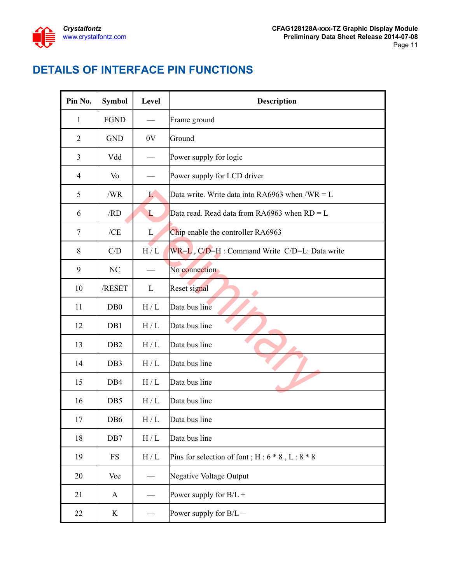

# <span id="page-10-0"></span>**DETAILS OF INTERFACE PIN FUNCTIONS**

| Pin No.        | <b>Symbol</b>    | Level        | Description                                         |
|----------------|------------------|--------------|-----------------------------------------------------|
| $\mathbf{1}$   | <b>FGND</b>      |              | Frame ground                                        |
| $\mathfrak{2}$ | <b>GND</b>       | 0V           | Ground                                              |
| 3              | Vdd              |              | Power supply for logic                              |
| 4              | Vo               |              | Power supply for LCD driver                         |
| 5              | /WR              | $\mathbf{L}$ | Data write. Write data into RA6963 when /WR = $L$   |
| 6              | /RD              | L            | Data read. Read data from RA6963 when $RD = L$      |
| 7              | /CE              | L            | Chip enable the controller RA6963                   |
| 8              | C/D              | H/L          | WR=L, C/D=H : Command Write C/D=L: Data write       |
| 9              | NC               |              | No connection                                       |
| 10             | /RESET           | L            | Reset signal                                        |
| 11             | D <sub>B</sub> 0 | H/L          | Data bus line                                       |
| 12             | DB1              | H/L          | Data bus line                                       |
| 13             | D <sub>B2</sub>  | H/L          | Data bus line                                       |
| 14             | DB <sub>3</sub>  | H/L          | Data bus line                                       |
| 15             | DB <sub>4</sub>  | H/L          | Data bus line                                       |
| 16             | DB5              | H/L          | Data bus line                                       |
| 17             | D <sub>B6</sub>  | H/L          | Data bus line                                       |
| 18             | DB7              | H/L          | Data bus line                                       |
| 19             | FS               | H/L          | Pins for selection of font; $H: 6 * 8$ , $L: 8 * 8$ |
| 20             | Vee              |              | Negative Voltage Output                             |
| 21             | A                |              | Power supply for $B/L +$                            |
| 22             | K                |              | Power supply for $B/L$ –                            |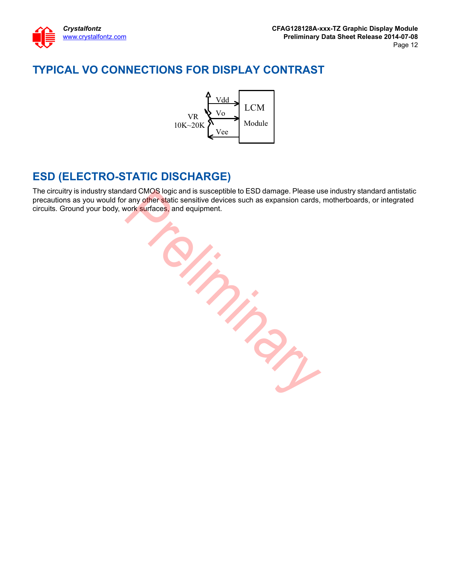

# <span id="page-11-0"></span>**TYPICAL VO CONNECTIONS FOR DISPLAY CONTRAST**



## <span id="page-11-1"></span>**ESD (ELECTRO-STATIC DISCHARGE)**

The circuitry is industry standard CMOS logic and is susceptible to ESD damage. Please use industry standard antistatic precautions as you would for any other static sensitive devices such as expansion cards, motherboards, or integrated circuits. Ground your body, work surfaces, and equipment.

Preliminary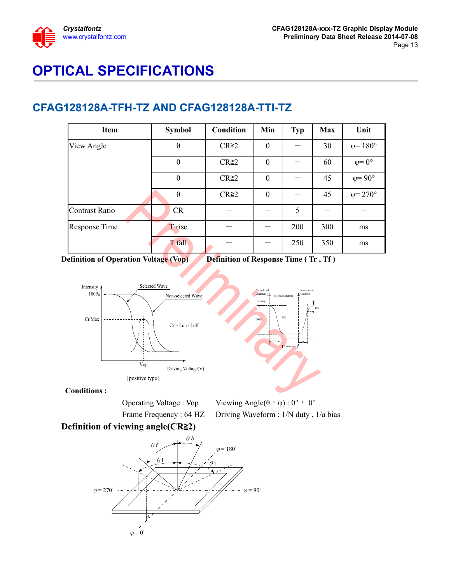

# <span id="page-12-0"></span>**OPTICAL SPECIFICATIONS**

#### **CFAG128128A-TFH-TZ AND CFAG128128A-TTI-TZ**

| Item           | <b>Symbol</b> | <b>Condition</b> | Min              | <b>Typ</b> | Max | Unit                 |
|----------------|---------------|------------------|------------------|------------|-----|----------------------|
| View Angle     | $\theta$      | $CR \ge 2$       | $\boldsymbol{0}$ |            | 30  | $\psi = 180^\circ$   |
|                | $\theta$      | $CR \ge 2$       | $\boldsymbol{0}$ |            | 60  | $\psi = 0^{\circ}$   |
|                | $\theta$      | $CR \ge 2$       | $\boldsymbol{0}$ |            | 45  | $\psi = 90^\circ$    |
|                | $\theta$      | $CR \geq 2$      | $\theta$         |            | 45  | $\psi = 270^{\circ}$ |
| Contrast Ratio | <b>CR</b>     |                  |                  | 5          |     |                      |
| Response Time  | T rise        |                  |                  | 200        | 300 | ms                   |
|                | T fall        |                  |                  | 250        | 350 | ms                   |

**Definition of Operation Voltage (Vop)** Definition of Response Time (Tr, Tf)



**Conditions :**

Operating Voltage : Vop Viewing Angle( $\theta$ ,  $\phi$ ) : 0°, 0° Frame Frequency : 64 HZ Driving Waveform : 1/N duty, 1/a bias

10%

#### **Definition of viewing angle(CR**ฺ**2)**

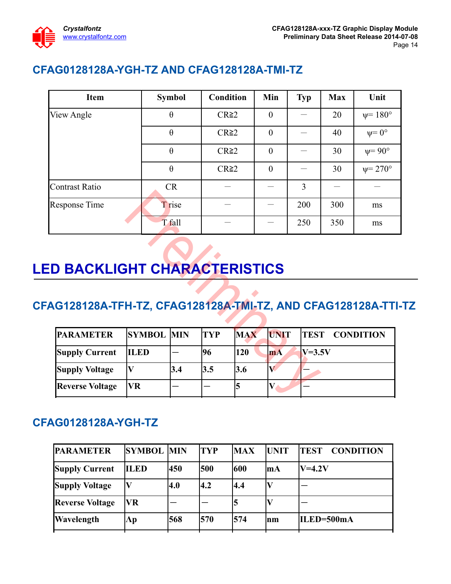

# **CFAG0128128A-YGH-TZ AND CFAG128128A-TMI-TZ**

| <b>Item</b>    | <b>Symbol</b> | <b>Condition</b> | Min              | <b>Typ</b> | <b>Max</b> | Unit                 |
|----------------|---------------|------------------|------------------|------------|------------|----------------------|
| View Angle     | $\theta$      | $CR \geq 2$      | $\boldsymbol{0}$ |            | 20         | $ψ = 180°$           |
|                | $\theta$      | $CR \geq 2$      | $\theta$         |            | 40         | $\psi = 0^{\circ}$   |
|                | $\theta$      | $CR \geq 2$      | $\mathbf{0}$     |            | 30         | $\psi = 90^{\circ}$  |
|                | $\theta$      | $CR \ge 2$       | $\mathbf{0}$     |            | 30         | $\psi = 270^{\circ}$ |
| Contrast Ratio | <b>CR</b>     |                  |                  | 3          |            |                      |
| Response Time  | T rise        |                  |                  | 200        | 300        | ms                   |
|                | T fall        |                  |                  | 250        | 350        | ms                   |

# <span id="page-13-0"></span>**LED BACKLIGHT CHARACTERISTICS**

# **CFAG128128A-TFH-TZ, CFAG128128A-TMI-TZ, AND CFAG128128A-TTI-TZ**

| esponse Time                                            |                   | T rise |            |            |                | 200         | 300 | ms               |
|---------------------------------------------------------|-------------------|--------|------------|------------|----------------|-------------|-----|------------------|
|                                                         |                   | T fall |            |            |                | 250         | 350 | ms               |
| <b>D BACKLIGHT CHARACTERISTICS</b>                      |                   |        |            |            |                |             |     |                  |
| G128128A-TFH-TZ, CFAG128128A-TMI-TZ, AND CFAG128128A-TT |                   |        |            |            |                |             |     |                  |
| <b>PARAMETER</b>                                        | <b>SYMBOL MIN</b> |        | <b>TYP</b> | <b>MAX</b> | <b>UNIT</b>    | <b>TEST</b> |     | <b>CONDITION</b> |
| <b>Supply Current</b>                                   | <b>ILED</b>       |        | 96         | 120        | m <sub>A</sub> | $V=3.5V$    |     |                  |
| <b>Supply Voltage</b>                                   | V                 | 3.4    | 3.5        | 3.6        | $\bf V$        |             |     |                  |
| <b>Reverse Voltage</b>                                  | VR                |        |            | 5          | $\bf{V}$       |             |     |                  |
|                                                         |                   |        |            |            |                |             |     |                  |

## **CFAG0128128A-YGH-TZ**

| <b>PARAMETER</b>       | <b>SYMBOL MIN</b> |     | <b>TYP</b> | <b>MAX</b> | <b>UNIT</b> | <b>CONDITION</b><br>TEST |
|------------------------|-------------------|-----|------------|------------|-------------|--------------------------|
| <b>Supply Current</b>  | <b>ILED</b>       | 450 | 500        | 600        | <b>ImA</b>  | $V=4.2V$                 |
| <b>Supply Voltage</b>  |                   | 4.0 | 4.2        | 4.4        |             |                          |
| <b>Reverse Voltage</b> | <b>VR</b>         |     |            | 5          |             |                          |
| Wavelength             | $\Lambda p$       | 568 | 570        | 574        | nm          | ILED=500mA               |
|                        |                   |     |            |            |             |                          |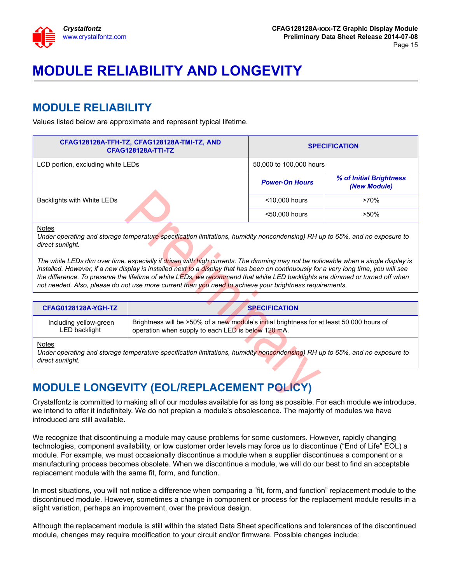

# <span id="page-14-0"></span>**MODULE RELIABILITY AND LONGEVITY**

## <span id="page-14-1"></span>**MODULE RELIABILITY**

Values listed below are approximate and represent typical lifetime.

| <b>SPECIFICATION</b>    |                                         |  |
|-------------------------|-----------------------------------------|--|
| 50,000 to 100,000 hours |                                         |  |
| <b>Power-On Hours</b>   | % of Initial Brightness<br>(New Module) |  |
| <10,000 hours           | $>70\%$                                 |  |
| <50,000 hours           | $>50\%$                                 |  |
|                         |                                         |  |

#### Notes

| Backlights with White LEDs                                                                                                                                                                                                                                                                                                                                                                                                                                                                                           |                                                                                                                                                 | <10,000 hours        | >70%    |
|----------------------------------------------------------------------------------------------------------------------------------------------------------------------------------------------------------------------------------------------------------------------------------------------------------------------------------------------------------------------------------------------------------------------------------------------------------------------------------------------------------------------|-------------------------------------------------------------------------------------------------------------------------------------------------|----------------------|---------|
|                                                                                                                                                                                                                                                                                                                                                                                                                                                                                                                      |                                                                                                                                                 | <50,000 hours        | $>50\%$ |
| <b>Notes</b><br>Under operating and storage temperature specification limitations, humidity noncondensing) RH up to 65%, and no exposure to<br>direct sunlight.                                                                                                                                                                                                                                                                                                                                                      |                                                                                                                                                 |                      |         |
| The white LEDs dim over time, especially if driven with high currents. The dimming may not be noticeable when a single display is<br>installed. However, if a new display is installed next to a display that has been on continuously for a very long time, you will see<br>the difference. To preserve the lifetime of white LEDs, we recommend that white LED backlights are dimmed or turned off when<br>not needed. Also, please do not use more current than you need to achieve your brightness requirements. |                                                                                                                                                 |                      |         |
|                                                                                                                                                                                                                                                                                                                                                                                                                                                                                                                      |                                                                                                                                                 |                      |         |
| <b>CFAG0128128A-YGH-TZ</b>                                                                                                                                                                                                                                                                                                                                                                                                                                                                                           |                                                                                                                                                 | <b>SPECIFICATION</b> |         |
| Including yellow-green<br>LED backlight                                                                                                                                                                                                                                                                                                                                                                                                                                                                              | Brightness will be >50% of a new module's initial brightness for at least 50,000 hours of<br>operation when supply to each LED is below 120 mA. |                      |         |
| <b>Notes</b><br>Under operating and storage temperature specification limitations, humidity noncondensing) RH up to 65%, and no exposure to<br>direct sunlight.                                                                                                                                                                                                                                                                                                                                                      |                                                                                                                                                 |                      |         |
| <b>MODULE LONGEVITY (EOL/REPLACEMENT POLICY)</b>                                                                                                                                                                                                                                                                                                                                                                                                                                                                     |                                                                                                                                                 |                      |         |
| Crystalfontz is committed to making all of our modules available for as long as possible. For each module we introduce,                                                                                                                                                                                                                                                                                                                                                                                              |                                                                                                                                                 |                      |         |

#### Notes

## <span id="page-14-2"></span>**MODULE LONGEVITY (EOL/REPLACEMENT POLICY)**

Crystalfontz is committed to making all of our modules available for as long as possible. For each module we introduce, we intend to offer it indefinitely. We do not preplan a module's obsolescence. The majority of modules we have introduced are still available.

We recognize that discontinuing a module may cause problems for some customers. However, rapidly changing technologies, component availability, or low customer order levels may force us to discontinue ("End of Life" EOL) a module. For example, we must occasionally discontinue a module when a supplier discontinues a component or a manufacturing process becomes obsolete. When we discontinue a module, we will do our best to find an acceptable replacement module with the same fit, form, and function.

In most situations, you will not notice a difference when comparing a "fit, form, and function" replacement module to the discontinued module. However, sometimes a change in component or process for the replacement module results in a slight variation, perhaps an improvement, over the previous design.

Although the replacement module is still within the stated Data Sheet specifications and tolerances of the discontinued module, changes may require modification to your circuit and/or firmware. Possible changes include: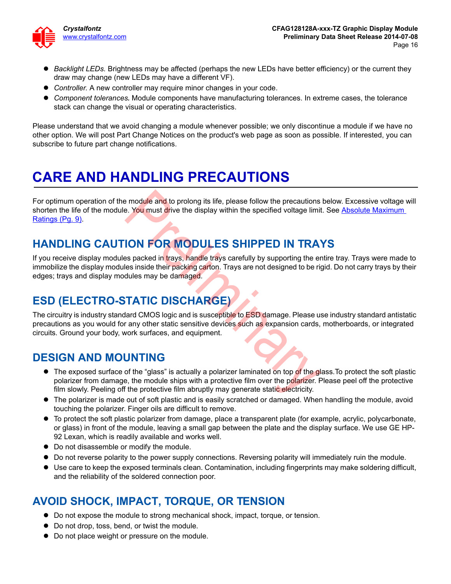

- *Backlight LEDs.* Brightness may be affected (perhaps the new LEDs have better efficiency) or the current they draw may change (new LEDs may have a different VF).
- *Controller.* A new controller may require minor changes in your code.
- *Component tolerances.* Module components have manufacturing tolerances. In extreme cases, the tolerance stack can change the visual or operating characteristics.

Please understand that we avoid changing a module whenever possible; we only discontinue a module if we have no other option. We will post Part Change Notices on the product's web page as soon as possible. If interested, you can subscribe to future part change notifications.

# <span id="page-15-0"></span>**CARE AND HANDLING PRECAUTIONS**

For optimum operation of the module and to prolong its life, please follow the precautions below. Excessive voltage will shorten the life of the module. You must drive the display within the specified voltage limit. See Absolute Maximum [Ratings \(Pg. 9\)](#page-8-2).

# **HANDLING CAUTION FOR MODULES SHIPPED IN TRAYS**

If you receive display modules packed in <mark>t</mark>rays, handle trays carefully by supporting the entire tray. Trays were made to immobilize the display modules inside their packing carton. Trays are not designed to be rigid. Do not carry trays by their edges; trays and display modules may be damaged.

# **ESD (ELECTRO-STATIC DISCHARGE)**

The circuitry is industry standard CMOS logic and is susceptible to ESD damage. Please use industry standard antistatic precautions as you would for any other static sensitive devices such as expansion cards, motherboards, or integrated circuits. Ground your body, work surfaces, and equipment.

## **DESIGN AND MOUNTING**

- The exposed surface of the "glass" is actually a polarizer laminated on top of the glass. To protect the soft plastic polarizer from damage, the module ships with a protective film over the polarizer. Please peel off the protective film slowly. Peeling off the protective film abruptly may generate static electricity. Produle and to prolong its life, please follow the precautions<br>
Product and to prolong its life, please follow the precautions<br>
Prelimit Section Manuson Control of the display within the specified voltage limit<br>
Prelimitio
- The polarizer is made out of soft plastic and is easily scratched or damaged. When handling the module, avoid touching the polarizer. Finger oils are difficult to remove.
- To protect the soft plastic polarizer from damage, place a transparent plate (for example, acrylic, polycarbonate, or glass) in front of the module, leaving a small gap between the plate and the display surface. We use GE HP-92 Lexan, which is readily available and works well.
- Do not disassemble or modify the module.
- Do not reverse polarity to the power supply connections. Reversing polarity will immediately ruin the module.
- Use care to keep the exposed terminals clean. Contamination, including fingerprints may make soldering difficult, and the reliability of the soldered connection poor.

# **AVOID SHOCK, IMPACT, TORQUE, OR TENSION**

- Do not expose the module to strong mechanical shock, impact, torque, or tension.
- Do not drop, toss, bend, or twist the module.
- $\bullet$  Do not place weight or pressure on the module.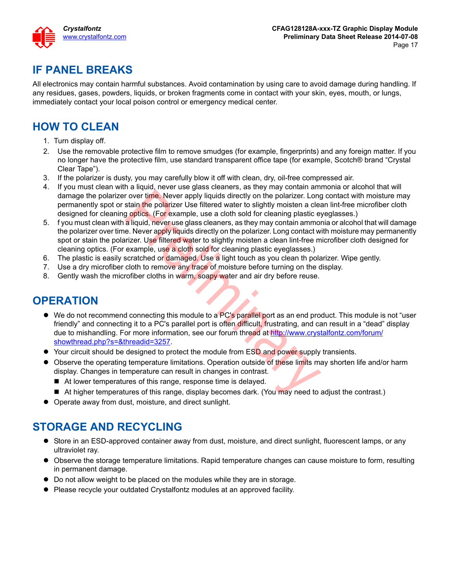

# **IF PANEL BREAKS**

All electronics may contain harmful substances. Avoid contamination by using care to avoid damage during handling. If any residues, gases, powders, liquids, or broken fragments come in contact with your skin, eyes, mouth, or lungs, immediately contact your local poison control or emergency medical center.

## **HOW TO CLEAN**

- 1. Turn display off.
- 2. Use the removable protective film to remove smudges (for example, fingerprints) and any foreign matter. If you no longer have the protective film, use standard transparent office tape (for example, Scotch® brand "Crystal Clear Tape").
- 3. If the polarizer is dusty, you may carefully blow it off with clean, dry, oil-free compressed air.
- 4. If you must clean with a liquid, never use glass cleaners, as they may contain ammonia or alcohol that will damage the polarizer over time. Never apply liquids directly on the polarizer. Long contact with moisture may permanently spot or stain the polarizer Use filtered water to slightly moisten a clean lint-free microfiber cloth designed for cleaning optics. (For example, use a cloth sold for cleaning plastic eyeglasses.)
- 5. f you must clean with a liquid, never use glass cleaners, as they may contain ammonia or alcohol that will damage the polarizer over time. Never apply liquids directly on the polarizer. Long contact with moisture may permanently spot or stain the polarizer. Use filtered water to slightly moisten a clean lint-free microfiber cloth designed for cleaning optics. (For example, use a cloth sold for cleaning plastic eyeglasses.) r over time. Never apply liquids directly on the polarizer. Long<br>stain the polarizer Use filtered water to slightly moisten a clear<br>goptics. (For example, use a cloth sold for cleaning plastic eye aliquid, never use glass
- 6. The plastic is easily scratched or damaged. Use a light touch as you clean th polarizer. Wipe gently.
- 7. Use a dry microfiber cloth to remove any trace of moisture before turning on the display.
- 8. Gently wash the microfiber cloths in warm, soapy water and air dry before reuse.

## **OPERATION**

- $\bullet$  We do not recommend connecting this module to a PC's parallel port as an end product. This module is not "user friendly" and connecting it to a PC's parallel port is often difficult, frustrating, and can result in a "dead" display due to mishandling. For more information, see our forum thread at [http://www.crystalfontz.com/forum/](http://www.crystalfontz.com/forum/showthread.php?s=&threadid=3257) [showthread.php?s=&threadid=3257](http://www.crystalfontz.com/forum/showthread.php?s=&threadid=3257).
- Your circuit should be designed to protect the module from ESD and power supply transients.
- Observe the operating temperature limitations. Operation outside of these limits may shorten life and/or harm display. Changes in temperature can result in changes in contrast.
	- At lower temperatures of this range, response time is delayed.
	- At higher temperatures of this range, display becomes dark. (You may need to adjust the contrast.)
- Operate away from dust, moisture, and direct sunlight.

## **STORAGE AND RECYCLING**

- Store in an ESD-approved container away from dust, moisture, and direct sunlight, fluorescent lamps, or any ultraviolet ray.
- Observe the storage temperature limitations. Rapid temperature changes can cause moisture to form, resulting in permanent damage.
- Do not allow weight to be placed on the modules while they are in storage.
- Please recycle your outdated Crystalfontz modules at an approved facility.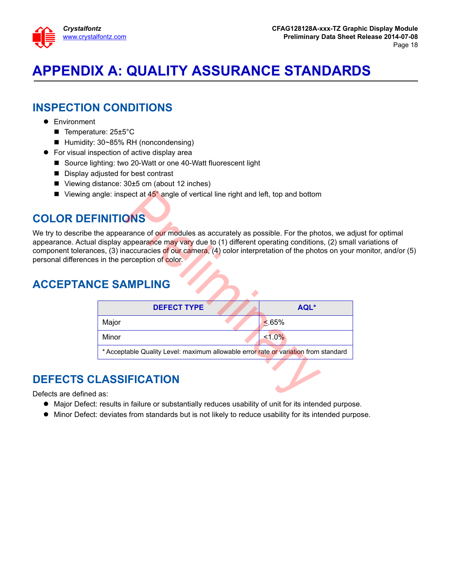

# <span id="page-17-0"></span>**APPENDIX A: QUALITY ASSURANCE STANDARDS**

## **INSPECTION CONDITIONS**

- **•** Environment
	- Temperature: 25±5°C
	- Humidity: 30~85% RH (noncondensing)
- For visual inspection of active display area
	- Source lighting: two 20-Watt or one 40-Watt fluorescent light
	- Display adjusted for best contrast
	- Viewing distance: 30±5 cm (about 12 inches)
	- Viewing angle: inspect at  $45^\circ$  angle of vertical line right and left, top and bottom

# **COLOR DEFINITIONS**

We try to describe the appearance of our modules as accurately as possible. For the photos, we adjust for optimal appearance. Actual display appearance may vary due to (1) different operating conditions, (2) small variations of component tolerances, (3) inaccuracies of our camera, (4) color interpretation of the photos on your monitor, and/or (5) personal differences in the perception of color.

# **ACCEPTANCE SAMPLING**

| ngle: inspect at 45° angle of vertical line right and left, top and bottom                                                                                                                                                                                                                                 |             |
|------------------------------------------------------------------------------------------------------------------------------------------------------------------------------------------------------------------------------------------------------------------------------------------------------------|-------------|
| <b>INITIONS</b>                                                                                                                                                                                                                                                                                            |             |
| he appearance of our modules as accurately as possible. For the photos, we a<br>display appearance may vary due to (1) different operating conditions, (2) sma<br>es, (3) inaccuracies of our camera, (4) color interpretation of the photos on you<br>s in the perception of color.<br><b>CE SAMPLING</b> |             |
| <b>DEFECT TYPE</b>                                                                                                                                                                                                                                                                                         | AQL*        |
| Major                                                                                                                                                                                                                                                                                                      | $\leq 65\%$ |
| Minor                                                                                                                                                                                                                                                                                                      | $1.0\%$     |
| * Acceptable Quality Level: maximum allowable error rate or variation from standard                                                                                                                                                                                                                        |             |
|                                                                                                                                                                                                                                                                                                            |             |
|                                                                                                                                                                                                                                                                                                            |             |
| <b>LASSIFICATION</b><br>as:                                                                                                                                                                                                                                                                                |             |

# **DEFECTS CLASSIFICATION**

Defects are defined as:

- Major Defect: results in failure or substantially reduces usability of unit for its intended purpose.
- $\bullet$  Minor Defect: deviates from standards but is not likely to reduce usability for its intended purpose.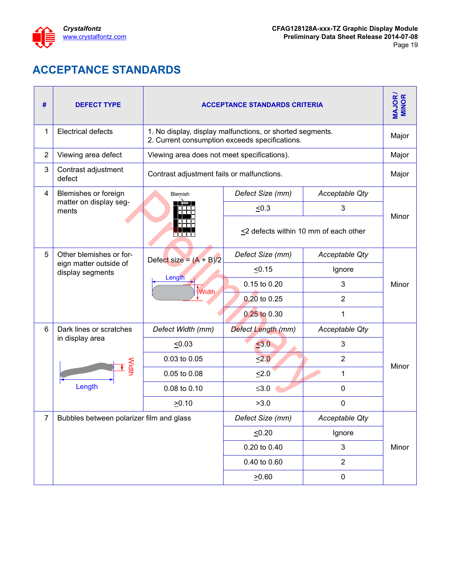

# **ACCEPTANCE STANDARDS**

<span id="page-18-1"></span><span id="page-18-0"></span>

| #              | <b>DEFECT TYPE</b>                         | <b>ACCEPTANCE STANDARDS CRITERIA</b>                                                                        |                    |                                       | <b>MAJOR/</b><br><b>MINOR</b> |
|----------------|--------------------------------------------|-------------------------------------------------------------------------------------------------------------|--------------------|---------------------------------------|-------------------------------|
| 1              | <b>Electrical defects</b>                  | 1. No display, display malfunctions, or shorted segments.<br>2. Current consumption exceeds specifications. |                    |                                       | Major                         |
| $\overline{2}$ | Viewing area defect                        | Viewing area does not meet specifications).                                                                 |                    |                                       | Major                         |
| 3              | Contrast adjustment<br>defect              | Contrast adjustment fails or malfunctions.                                                                  |                    |                                       | Major                         |
| 4              | Blemishes or foreign                       | Blemish                                                                                                     | Defect Size (mm)   | Acceptable Qty                        |                               |
|                | matter on display seg-<br>ments            |                                                                                                             | $\leq 0.3$         | 3                                     | Minor                         |
|                |                                            |                                                                                                             |                    | <2 defects within 10 mm of each other |                               |
| 5              | Other blemishes or for-                    | Defect size = $(A + B)/2$                                                                                   | Defect Size (mm)   | Acceptable Qty                        |                               |
|                | eign matter outside of<br>display segments |                                                                                                             | 50.15              | Ignore                                |                               |
|                |                                            | Length<br>Width                                                                                             | 0.15 to 0.20       | 3                                     | Minor                         |
|                |                                            |                                                                                                             | 0.20 to 0.25       | $\overline{2}$                        |                               |
|                |                                            |                                                                                                             | 0.25 to 0.30       | 1                                     |                               |
| 6              | Dark lines or scratches                    | Defect Width (mm)                                                                                           | Defect Length (mm) | Acceptable Qty                        |                               |
|                | in display area                            | $\leq 0.03$                                                                                                 | $\leq 3.0$         | 3                                     |                               |
|                | Width<br>Length                            | 0.03 to 0.05                                                                                                | $\leq 2.0$         | $\overline{2}$                        | Minor                         |
|                |                                            | 0.05 to 0.08                                                                                                | $\leq 2.0$         | 1                                     |                               |
|                |                                            | 0.08 to 0.10                                                                                                | $≤3.0$             | 0                                     |                               |
|                |                                            | $\geq 0.10$                                                                                                 | >3.0               | $\mathbf 0$                           |                               |
| 7              | Bubbles between polarizer film and glass   |                                                                                                             | Defect Size (mm)   | <b>Acceptable Qty</b>                 |                               |
|                |                                            |                                                                                                             | 50.20              | Ignore                                |                               |
|                |                                            |                                                                                                             | 0.20 to 0.40       | 3                                     | Minor                         |
|                |                                            |                                                                                                             | 0.40 to 0.60       | $\overline{2}$                        |                               |
|                |                                            |                                                                                                             | 20.60              | $\pmb{0}$                             |                               |